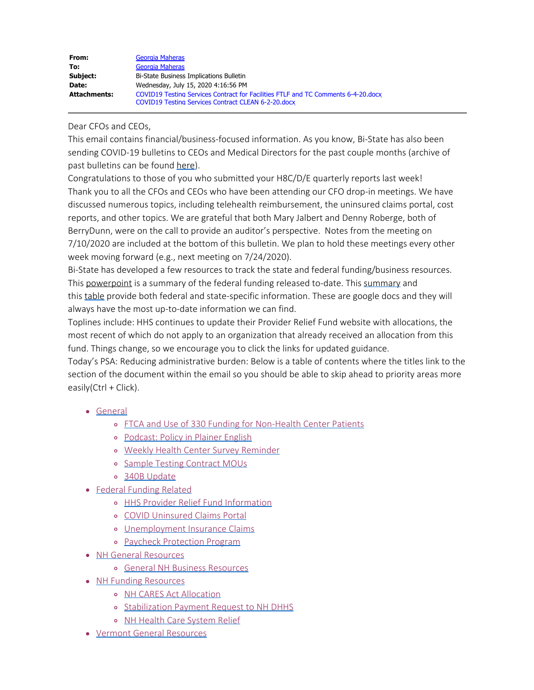| From:               | Georgia Maheras                                                                                                                          |
|---------------------|------------------------------------------------------------------------------------------------------------------------------------------|
| To:                 | Georgia Maheras                                                                                                                          |
| Subject:            | Bi-State Business Implications Bulletin                                                                                                  |
| Date:               | Wednesday, July 15, 2020 4:16:56 PM                                                                                                      |
| <b>Attachments:</b> | COVID19 Testing Services Contract for Facilities FTLF and TC Comments 6-4-20.docx<br>COVID19 Testing Services Contract CLEAN 6-2-20.docx |

Dear CFOs and CEOs,

This email contains financial/business-focused information. As you know, Bi-State has also been sending COVID-19 bulletins to CEOs and Medical Directors for the past couple months (archive of past bulletins can be found [here](https://bistatepca.org/health-center-resources/covid-bulletins-resources/bi-state-covid-19-bulletins)).

Congratulations to those of you who submitted your H8C/D/E quarterly reports last week! Thank you to all the CFOs and CEOs who have been attending our CFO drop-in meetings. We have discussed numerous topics, including telehealth reimbursement, the uninsured claims portal, cost reports, and other topics. We are grateful that both Mary Jalbert and Denny Roberge, both of BerryDunn, were on the call to provide an auditor's perspective. Notes from the meeting on 7/10/2020 are included at the bottom of this bulletin. We plan to hold these meetings every other week moving forward (e.g., next meeting on 7/24/2020).  

<span id="page-0-0"></span>Bi-State has developed a few resources to track the state and federal funding/business resources. This powerpoint is a [summary](https://drive.google.com/file/d/15mc3V8Dr1baKYgds9Q11_9Qi3XOw7tix/view) of the federal funding released to-date. This summary and this [table](https://drive.google.com/open?id=1wmsUmXu9Jjhh1_oc9_7SZqOicvRbexke) provide both federal and state-specific information. These are google docs and they will always have the most up-to-date information we can find.

Toplines include: HHS continues to update their Provider Relief Fund website with allocations, the most recent of which do not apply to an organization that already received an allocation from this fund. Things change, so we encourage you to click the links for updated guidance.

Today's PSA: Reducing administrative burden: Below is a table of contents where the titles link to the section of the document within the email so you should be able to skip ahead to priority areas more easily(Ctrl + Click).

- [General](#page-1-0)
	- o [FTCA and Use of 330 Funding for Non-Health Center Patients](#page-1-1)
	- [Podcast: Policy in Plainer English](#page-1-2)
	- o [Weekly Health Center Survey Reminder](#page-2-0)
	- o [Sample Testing Contract MOUs](#page-2-1)
	- [340B Update](#page-2-2)
- [Federal Funding Related](#page-2-3)
	- **o** [HHS Provider Relief Fund Information](#page-2-4)
	- [COVID Uninsured Claims Portal](#page-2-5)
	- o [Unemployment Insurance Claims](#page-3-0)
	- o [Paycheck Protection Program](#page-3-1)
- [NH General Resources](#page-3-2)
	- [General NH Business Resources](#page-3-2)
- [NH Funding Resources](#page-3-3)
	- o [NH CARES Act Allocation](#page-3-4)
	- o [Stabilization Payment Request to NH DHHS](#page-3-5)
	- o [NH Health Care System Relief](#page-3-6)
- [Vermont General Resources](#page-3-7)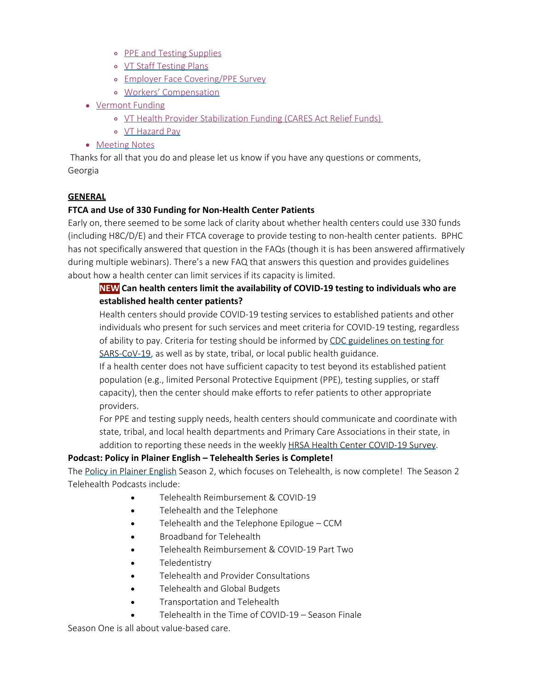- o [PPE and Testing Supplies](#page-3-8)
- [VT Staff Testing Plans](#page-4-0)
- [Employer Face Covering/PPE Survey](#page-4-1)
- [Workers' Compensation](#page-4-2)
- [Vermont Funding](#page-4-3)
	- o [VT Health Provider Stabilization Funding \(CARES Act Relief Funds\)](#page-5-0)
	- [VT Hazard Pay](#page-5-1)
- [Meeting Notes](#page-6-0)

Thanks for all that you do and please let us know if you have any questions or comments, Georgia

#### <span id="page-1-0"></span>**GENERAL**

#### <span id="page-1-1"></span>**FTCA and Use of 330 Funding for Non-Health Center Patients**

Early on, there seemed to be some lack of clarity about whether health centers could use 330 funds (including H8C/D/E) and their FTCA coverage to provide testing to non-health center patients. BPHC has not specifically answered that question in the FAQs (though it is has been answered affirmatively during multiple webinars). There's a new FAQ that answers this question and provides guidelines about how a health center can limit services if its capacity is limited.

# **NEW Can health centers limit the availability of COVID-19 testing to individuals who are established health center patients?**

Health centers should provide COVID-19 testing services to established patients and other individuals who present for such services and meet criteria for COVID-19 testing, regardless of ability to pay. Criteria for testing should be informed by [CDC guidelines on testing for](https://www.cdc.gov/coronavirus/2019-ncov/hcp/testing-overview.html?CDC_AA_refVal=https%3A%2F%2Fwww.cdc.gov%2Fcoronavirus%2F2019-ncov%2Fhcp%2Fclinical-criteria.html) [SARS-CoV-19,](https://www.cdc.gov/coronavirus/2019-ncov/hcp/testing-overview.html?CDC_AA_refVal=https%3A%2F%2Fwww.cdc.gov%2Fcoronavirus%2F2019-ncov%2Fhcp%2Fclinical-criteria.html) as well as by state, tribal, or local public health guidance.

If a health center does not have sufficient capacity to test beyond its established patient population (e.g., limited Personal Protective Equipment (PPE), testing supplies, or staff capacity), then the center should make efforts to refer patients to other appropriate providers.

For PPE and testing supply needs, health centers should communicate and coordinate with state, tribal, and local health departments and Primary Care Associations in their state, in addition to reporting these needs in the weekly [HRSA Health Center COVID-19 Survey](https://bphc.hrsa.gov/emergency-response/coronavirus-health-center-data).

#### <span id="page-1-2"></span>**Podcast: Policy in Plainer English – Telehealth Series is Complete!**

The [Policy in Plainer English](http://www.plainerenglish.org/) Season 2, which focuses on Telehealth, is now complete! The Season 2 Telehealth Podcasts include:

- Telehealth Reimbursement & COVID-19
- Telehealth and the Telephone
- Telehealth and the Telephone Epilogue CCM
- Broadband for Telehealth
- Telehealth Reimbursement & COVID-19 Part Two
- Teledentistry
- Telehealth and Provider Consultations
- Telehealth and Global Budgets
- Transportation and Telehealth
- Telehealth in the Time of COVID-19 Season Finale

Season One is all about value-based care.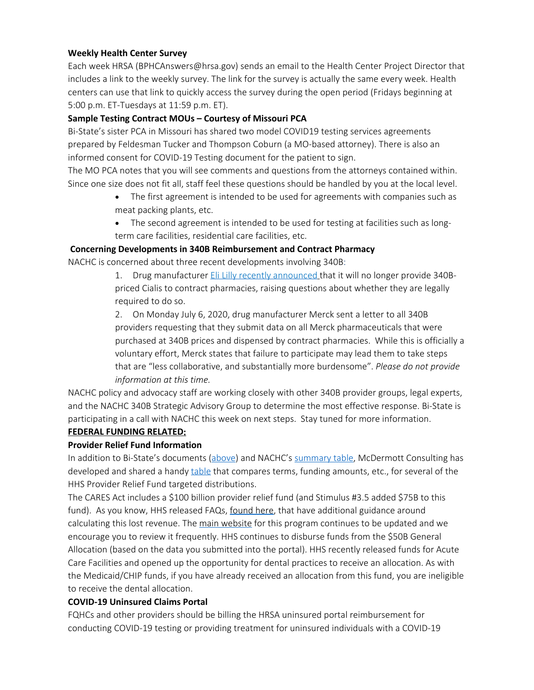### <span id="page-2-0"></span>**Weekly Health Center Survey**

Each week HRSA (BPHCAnswers@hrsa.gov) sends an email to the Health Center Project Director that includes a link to the weekly survey. The link for the survey is actually the same every week. Health centers can use that link to quickly access the survey during the open period (Fridays beginning at 5:00 p.m. ET-Tuesdays at 11:59 p.m. ET).

### <span id="page-2-1"></span>**Sample Testing Contract MOUs – Courtesy of Missouri PCA**

Bi-State's sister PCA in Missouri has shared two model COVID19 testing services agreements prepared by Feldesman Tucker and Thompson Coburn (a MO-based attorney). There is also an informed consent for COVID-19 Testing document for the patient to sign.

The MO PCA notes that you will see comments and questions from the attorneys contained within. Since one size does not fit all, staff feel these questions should be handled by you at the local level.

- The first agreement is intended to be used for agreements with companies such as meat packing plants, etc.
- The second agreement is intended to be used for testing at facilities such as longterm care facilities, residential care facilities, etc.

#### **Concerning Developments in 340B Reimbursement and Contract Pharmacy**

<span id="page-2-2"></span>NACHC is concerned about three recent developments involving 340B:

1. Drug manufacturer [Eli Lilly recently announced](https://www.hrsa.gov/sites/default/files/hrsa/opa/pdf/limited-distribution-plan-notice-cialis.pdf) that it will no longer provide 340Bpriced Cialis to contract pharmacies, raising questions about whether they are legally required to do so.

2. On Monday July 6, 2020, drug manufacturer Merck sent a letter to all 340B providers requesting that they submit data on all Merck pharmaceuticals that were purchased at 340B prices and dispensed by contract pharmacies. While this is officially a voluntary effort, Merck states that failure to participate may lead them to take steps that are "less collaborative, and substantially more burdensome". *Please do not provide information at this time.*

NACHC policy and advocacy staff are working closely with other 340B provider groups, legal experts, and the NACHC 340B Strategic Advisory Group to determine the most effective response. Bi-State is participating in a call with NACHC this week on next steps. Stay tuned for more information.

#### <span id="page-2-3"></span>**FEDERAL FUNDING RELATED:**

#### <span id="page-2-4"></span>**Provider Relief Fund Information**

In addition to Bi-State's documents [\(above](#page-0-0)) and NACHC's [summary table,](https://docs.google.com/spreadsheets/d/1DfM-aU42TMaByT5YPOo0DAVWgT6CyIAo67j4FWj9dho/edit#gid=311166924) McDermott Consulting has developed and shared a handy [table](https://www.mcdermottplus.com/wp-content/uploads/2020/06/Provider-Relief-Fund-Toolkit-1.pdf) that compares terms, funding amounts, etc., for several of the HHS Provider Relief Fund targeted distributions.

The CARES Act includes a \$100 billion provider relief fund (and Stimulus #3.5 added \$75B to this fund). As you know, HHS released FAQs, [found here](https://www.hhs.gov/sites/default/files/provider-relief-fund-general-distribution-faqs.pdf), that have additional guidance around calculating this lost revenue. The [main website](https://www.hhs.gov/coronavirus/cares-act-provider-relief-fund/index.html) for this program continues to be updated and we encourage you to review it frequently. HHS continues to disburse funds from the \$50B General Allocation (based on the data you submitted into the portal). HHS recently released funds for Acute Care Facilities and opened up the opportunity for dental practices to receive an allocation. As with the Medicaid/CHIP funds, if you have already received an allocation from this fund, you are ineligible to receive the dental allocation.

#### <span id="page-2-5"></span>**COVID-19 Uninsured Claims Portal**

FQHCs and other providers should be billing the HRSA uninsured portal reimbursement for conducting COVID-19 testing or providing treatment for uninsured individuals with a COVID-19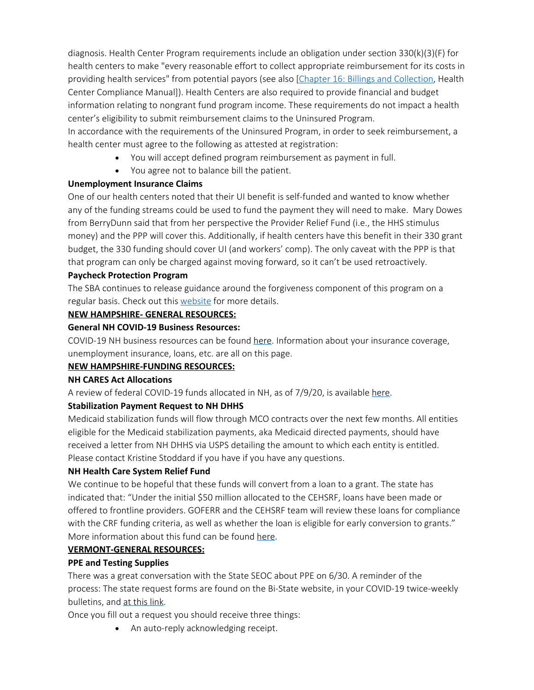diagnosis. Health Center Program requirements include an obligation under section 330(k)(3)(F) for health centers to make "every reasonable effort to collect appropriate reimbursement for its costs in providing health services" from potential payors (see also [[Chapter 16: Billings and Collection](https://bphc.hrsa.gov/programrequirements/compliancemanual/chapter-16.html), Health Center Compliance Manual]). Health Centers are also required to provide financial and budget information relating to nongrant fund program income. These requirements do not impact a health center's eligibility to submit reimbursement claims to the Uninsured Program.

In accordance with the requirements of the Uninsured Program, in order to seek reimbursement, a health center must agree to the following as attested at registration:

- · You will accept defined program reimbursement as payment in full.
- · You agree not to balance bill the patient.

#### <span id="page-3-0"></span>**Unemployment Insurance Claims**

One of our health centers noted that their UI benefit is self-funded and wanted to know whether any of the funding streams could be used to fund the payment they will need to make. Mary Dowes from BerryDunn said that from her perspective the Provider Relief Fund (i.e., the HHS stimulus money) and the PPP will cover this. Additionally, if health centers have this benefit in their 330 grant budget, the 330 funding should cover UI (and workers' comp). The only caveat with the PPP is that that program can only be charged against moving forward, so it can't be used retroactively.

### <span id="page-3-1"></span>**Paycheck Protection Program**

The SBA continues to release guidance around the forgiveness component of this program on a regular basis. Check out this [website](https://www.sba.gov/funding-programs/loans/coronavirus-relief-options/paycheck-protection-program) for more details.

#### **NEW HAMPSHIRE- GENERAL RESOURCES:**

### <span id="page-3-2"></span>**General NH COVID-19 Business Resources:**

COVID-19 NH business resources can be found [here](https://www.nheconomy.com/covid19). Information about your insurance coverage, unemployment insurance, loans, etc. are all on this page.

#### <span id="page-3-3"></span>**NEW HAMPSHIRE-FUNDING RESOURCES:**

#### <span id="page-3-4"></span>**NH CARES Act Allocations**

A review of federal COVID-19 funds allocated in NH, as of 7/9/20, is available [here](https://bistatepca.us4.list-manage.com/track/click?u=df7a2102cc7225ac3c634134a&id=71adaf2994&e=a1ac31450c).

#### <span id="page-3-5"></span>**Stabilization Payment Request to NH DHHS**

Medicaid stabilization funds will flow through MCO contracts over the next few months. All entities eligible for the Medicaid stabilization payments, aka Medicaid directed payments, should have received a letter from NH DHHS via USPS detailing the amount to which each entity is entitled. Please contact Kristine Stoddard if you have if you have any questions.

#### <span id="page-3-6"></span>**NH Health Care System Relief Fund**

We continue to be hopeful that these funds will convert from a loan to a grant. The state has indicated that: "Under the initial \$50 million allocated to the CEHSRF, loans have been made or offered to frontline providers. GOFERR and the CEHSRF team will review these loans for compliance with the CRF funding criteria, as well as whether the loan is eligible for early conversion to grants." More information about this fund can be found [here](https://www.goferr.nh.gov/covid-expenditures/healthcare-system-relief-fund).

#### <span id="page-3-7"></span>**VERMONT-GENERAL RESOURCES:**

#### <span id="page-3-8"></span>**PPE and Testing Supplies**

There was a great conversation with the State SEOC about PPE on 6/30. A reminder of the process: The state request forms are found on the Bi-State website, in your COVID-19 twice-weekly bulletins, and [at this link](https://forms.office.com/Pages/ResponsePage.aspx?id=O5O0IK26PEOcAnDtzHVZxnYHsES1qh9Hs2EGYmwc2tBURDVPSDJDS1hUTzdJMFIxVDZHQ1JHS1cxViQlQCN0PWcu).

Once you fill out a request you should receive three things:

• An auto-reply acknowledging receipt.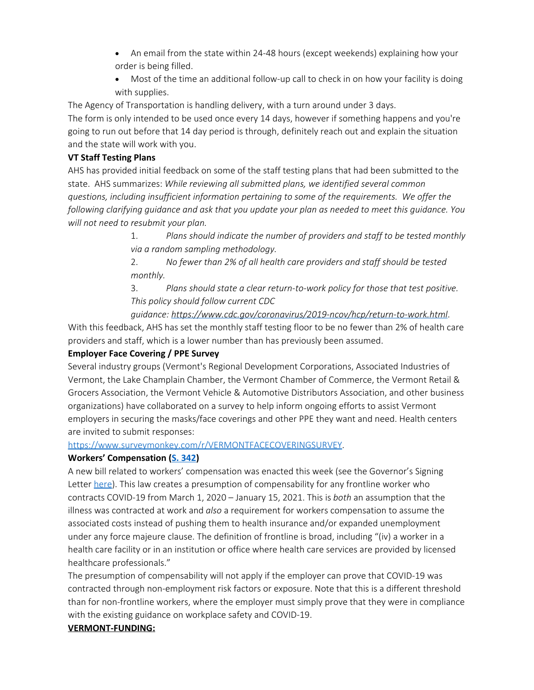- An email from the state within 24-48 hours (except weekends) explaining how your order is being filled.
- Most of the time an additional follow-up call to check in on how your facility is doing with supplies.

The Agency of Transportation is handling delivery, with a turn around under 3 days.

The form is only intended to be used once every 14 days, however if something happens and you're going to run out before that 14 day period is through, definitely reach out and explain the situation and the state will work with you.

### <span id="page-4-0"></span>**VT Staff Testing Plans**

AHS has provided initial feedback on some of the staff testing plans that had been submitted to the state. AHS summarizes: *While reviewing all submitted plans, we identified several common questions, including insufficient information pertaining to some of the requirements. We offer the following clarifying guidance and ask that you update your plan as needed to meet this guidance. You will not need to resubmit your plan.*

> 1. *Plans should indicate the number of providers and staff to be tested monthly via a random sampling methodology.*

2. *No fewer than 2% of all health care providers and staff should be tested monthly.*

3. *Plans should state a clear return-to-work policy for those that test positive. This policy should follow current CDC*

*guidance: <https://www.cdc.gov/coronavirus/2019-ncov/hcp/return-to-work.html>*. With this feedback, AHS has set the monthly staff testing floor to be no fewer than 2% of health care providers and staff, which is a lower number than has previously been assumed.

# <span id="page-4-1"></span>**Employer Face Covering / PPE Survey**

Several industry groups (Vermont's Regional Development Corporations, Associated Industries of Vermont, the Lake Champlain Chamber, the Vermont Chamber of Commerce, the Vermont Retail & Grocers Association, the Vermont Vehicle & Automotive Distributors Association, and other business organizations) have collaborated on a survey to help inform ongoing efforts to assist Vermont employers in securing the masks/face coverings and other PPE they want and need. Health centers are invited to submit responses:

#### <https://www.surveymonkey.com/r/VERMONTFACECOVERINGSURVEY>.

#### <span id="page-4-2"></span>**Workers' Compensation ([S. 342](https://legislature.vermont.gov/bill/status/2020/S.342))**

A new bill related to workers' compensation was enacted this week (see the Governor's Signing Letter [here](https://governor.vermont.gov/governor-scotts-blog/s342-signing-statement)). This law creates a presumption of compensability for any frontline worker who contracts COVID-19 from March 1, 2020 – January 15, 2021. This is *both* an assumption that the illness was contracted at work and *also* a requirement for workers compensation to assume the associated costs instead of pushing them to health insurance and/or expanded unemployment under any force majeure clause. The definition of frontline is broad, including "(iv) a worker in a health care facility or in an institution or office where health care services are provided by licensed healthcare professionals."

The presumption of compensability will not apply if the employer can prove that COVID-19 was contracted through non-employment risk factors or exposure. Note that this is a different threshold than for non-frontline workers, where the employer must simply prove that they were in compliance with the existing guidance on workplace safety and COVID-19.

# <span id="page-4-3"></span>**VERMONT-FUNDING:**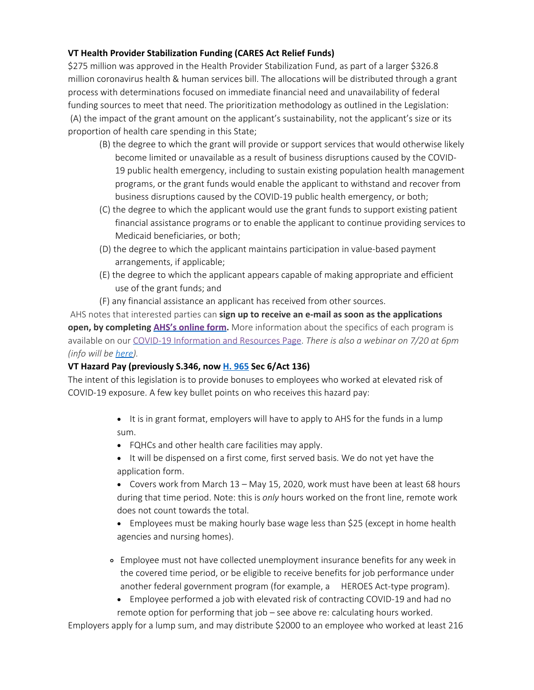## <span id="page-5-0"></span>**VT Health Provider Stabilization Funding (CARES Act Relief Funds)**

\$275 million was approved in the Health Provider Stabilization Fund, as part of a larger \$326.8 million coronavirus health & human services bill. The allocations will be distributed through a grant process with determinations focused on immediate financial need and unavailability of federal funding sources to meet that need. The prioritization methodology as outlined in the Legislation: (A) the impact of the grant amount on the applicant's sustainability, not the applicant's size or its proportion of health care spending in this State;

- (B) the degree to which the grant will provide or support services that would otherwise likely become limited or unavailable as a result of business disruptions caused by the COVID-19 public health emergency, including to sustain existing population health management programs, or the grant funds would enable the applicant to withstand and recover from business disruptions caused by the COVID-19 public health emergency, or both;
- (C) the degree to which the applicant would use the grant funds to support existing patient financial assistance programs or to enable the applicant to continue providing services to Medicaid beneficiaries, or both;
- (D) the degree to which the applicant maintains participation in value-based payment arrangements, if applicable;
- (E) the degree to which the applicant appears capable of making appropriate and efficient use of the grant funds; and
- (F) any financial assistance an applicant has received from other sources.

AHS notes that interested parties can **sign up to receive an e-mail as soon as the applications open, by completing [AHS's online form](https://forms.office.com/Pages/ResponsePage.aspx?id=O5O0IK26PEOcAnDtzHVZxvfgWKk_oARJtaZfOH6fNQtUM0dKTFo2SVhVOEdXNDBWNEZIT1dUSlJMMC4u).** More information about the specifics of each program is available on our [COVID-19 Information and Resources Page](https://humanservices.vermont.gov/help-and-resources/covid-19-information). *There is also a webinar on 7/20 at 6pm (info will be [here](https://humanservices.vermont.gov/help-and-resources/covid-19-information)).*

#### <span id="page-5-1"></span>**VT Hazard Pay (previously S.346, now [H. 965](https://legislature.vermont.gov/Documents/2020/Docs/BILLS/H-0965/H-0965%20As%20Passed%20by%20Both%20House%20and%20Senate%20Unofficial.pdf) Sec 6/Act 136)**

The intent of this legislation is to provide bonuses to employees who worked at elevated risk of COVID-19 exposure. A few key bullet points on who receives this hazard pay:

- It is in grant format, employers will have to apply to AHS for the funds in a lump sum.
- · FQHCs and other health care facilities may apply.
- It will be dispensed on a first come, first served basis. We do not yet have the application form.
- Covers work from March 13 May 15, 2020, work must have been at least 68 hours during that time period. Note: this is *only* hours worked on the front line, remote work does not count towards the total.
- Employees must be making hourly base wage less than \$25 (except in home health agencies and nursing homes).
- Employee must not have collected unemployment insurance benefits for any week in the covered time period, or be eligible to receive benefits for job performance under another federal government program (for example, a HEROES Act-type program).
	- · Employee performed a job with elevated risk of contracting COVID-19 and had no remote option for performing that job – see above re: calculating hours worked.

Employers apply for a lump sum, and may distribute \$2000 to an employee who worked at least 216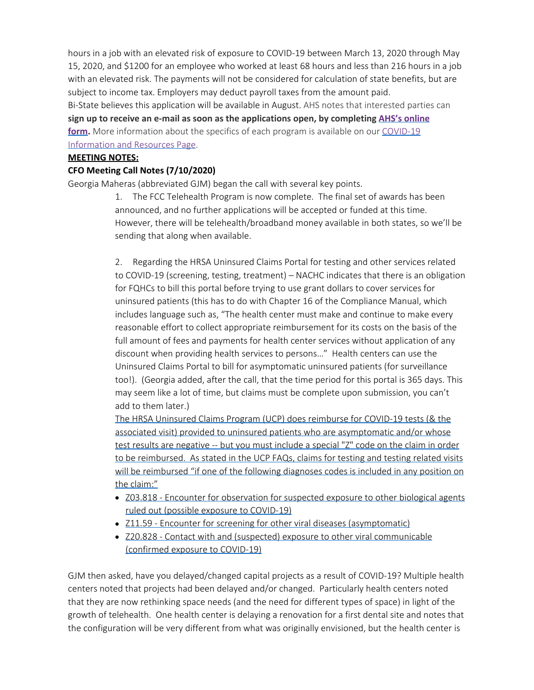hours in a job with an elevated risk of exposure to COVID-19 between March 13, 2020 through May 15, 2020, and \$1200 for an employee who worked at least 68 hours and less than 216 hours in a job with an elevated risk. The payments will not be considered for calculation of state benefits, but are subject to income tax. Employers may deduct payroll taxes from the amount paid. Bi-State believes this application will be available in August. AHS notes that interested parties can **sign up to receive an e-mail as soon as the applications open, by completing [AHS's online](https://forms.office.com/Pages/ResponsePage.aspx?id=O5O0IK26PEOcAnDtzHVZxvfgWKk_oARJtaZfOH6fNQtUM0dKTFo2SVhVOEdXNDBWNEZIT1dUSlJMMC4u)** [form.](https://forms.office.com/Pages/ResponsePage.aspx?id=O5O0IK26PEOcAnDtzHVZxvfgWKk_oARJtaZfOH6fNQtUM0dKTFo2SVhVOEdXNDBWNEZIT1dUSlJMMC4u) More information about the specifics of each program is available on our [COVID-19](https://humanservices.vermont.gov/help-and-resources/covid-19-information) [Information and Resources Page](https://humanservices.vermont.gov/help-and-resources/covid-19-information).

#### <span id="page-6-0"></span>**MEETING NOTES:**

#### **CFO Meeting Call Notes (7/10/2020)**

Georgia Maheras (abbreviated GJM) began the call with several key points.  

1. The FCC Telehealth Program is now complete. The final set of awards has been announced, and no further applications will be accepted or funded at this time. However, there will be telehealth/broadband money available in both states, so we'll be sending that along when available.

2. Regarding the HRSA Uninsured Claims Portal for testing and other services related to COVID-19 (screening, testing, treatment) – NACHC indicates that there is an obligation for FQHCs to bill this portal before trying to use grant dollars to cover services for uninsured patients (this has to do with Chapter 16 of the Compliance Manual, which includes language such as, "The health center must make and continue to make every reasonable effort to collect appropriate reimbursement for its costs on the basis of the full amount of fees and payments for health center services without application of any discount when providing health services to persons…" Health centers can use the Uninsured Claims Portal to bill for asymptomatic uninsured patients (for surveillance too!). (Georgia added, after the call, that the time period for this portal is 365 days. This may seem like a lot of time, but claims must be complete upon submission, you can't add to them later.)

The HRSA Uninsured Claims Program (UCP) does reimburse for COVID-19 tests (& the associated visit) provided to uninsured patients who are asymptomatic and/or whose test results are negative -- but you must include a special "Z" code on the claim in order to be reimbursed. As stated in the UCP FAQs, claims for testing and testing related visits will be reimbursed "if one of the following diagnoses codes is included in any position on the claim:"

- Z03.818 Encounter for observation for suspected exposure to other biological agents ruled out (possible exposure to COVID-19)
- Z11.59 Encounter for screening for other viral diseases (asymptomatic)
- Z20.828 Contact with and (suspected) exposure to other viral communicable (confirmed exposure to COVID-19)

GJM then asked, have you delayed/changed capital projects as a result of COVID-19? Multiple health centers noted that projects had been delayed and/or changed. Particularly health centers noted that they are now rethinking space needs (and the need for different types of space) in light of the growth of telehealth. One health center is delaying a renovation for a first dental site and notes that the configuration will be very different from what was originally envisioned, but the health center is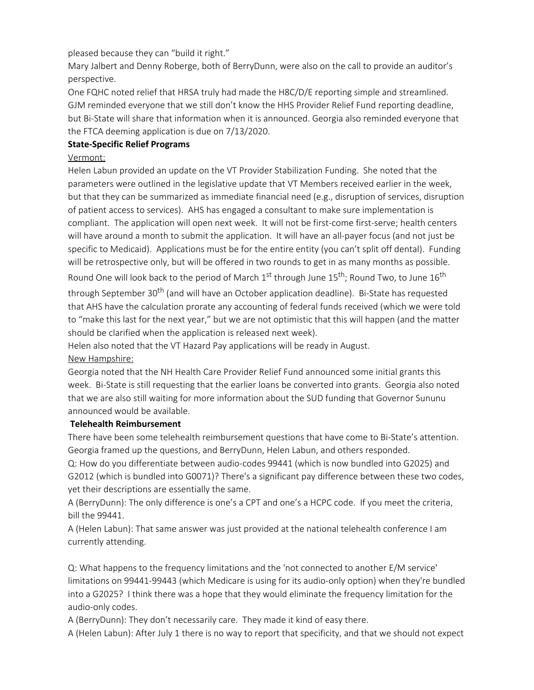pleased because they can "build it right."

Mary Jalbert and Denny Roberge, both of BerryDunn, were also on the call to provide an auditor's perspective.

One FQHC noted relief that HRSA truly had made the H8C/D/E reporting simple and streamlined. GJM reminded everyone that we still don't know the HHS Provider Relief Fund reporting deadline, but Bi-State will share that information when it is announced. Georgia also reminded everyone that the FTCA deeming application is due on 7/13/2020.

## **State-Specific Relief Programs**

### Vermont:

Helen Labun provided an update on the VT Provider Stabilization Funding. She noted that the parameters were outlined in the legislative update that VT Members received earlier in the week, but that they can be summarized as immediate financial need (e.g., disruption of services, disruption of patient access to services). AHS has engaged a consultant to make sure implementation is compliant. The application will open next week. It will not be first-come first-serve; health centers will have around a month to submit the application. It will have an all-payer focus (and not just be specific to Medicaid). Applications must be for the entire entity (you can't split off dental). Funding will be retrospective only, but will be offered in two rounds to get in as many months as possible. Round One will look back to the period of March  $1^{st}$  through June  $15^{th}$ ; Round Two, to June  $16^{th}$ through September 30<sup>th</sup> (and will have an October application deadline). Bi-State has requested that AHS have the calculation prorate any accounting of federal funds received (which we were told to "make this last for the next year," but we are not optimistic that this will happen (and the matter should be clarified when the application is released next week).

Helen also noted that the VT Hazard Pay applications will be ready in August.

#### New Hampshire:

Georgia noted that the NH Health Care Provider Relief Fund announced some initial grants this week. Bi-State is still requesting that the earlier loans be converted into grants. Georgia also noted that we are also still waiting for more information about the SUD funding that Governor Sununu announced would be available.

#### **Telehealth Reimbursement**

There have been some telehealth reimbursement questions that have come to Bi-State's attention. Georgia framed up the questions, and BerryDunn, Helen Labun, and others responded.

Q: How do you differentiate between audio-codes 99441 (which is now bundled into G2025) and G2012 (which is bundled into G0071)? There's a significant pay difference between these two codes, yet their descriptions are essentially the same.

A (BerryDunn): The only difference is one's a CPT and one's a HCPC code. If you meet the criteria, bill the 99441.

A (Helen Labun): That same answer was just provided at the national telehealth conference I am currently attending.

Q: What happens to the frequency limitations and the 'not connected to another E/M service' limitations on 99441-99443 (which Medicare is using for its audio-only option) when they're bundled into a G2025? I think there was a hope that they would eliminate the frequency limitation for the audio-only codes.

A (BerryDunn): They don't necessarily care. They made it kind of easy there.

A (Helen Labun): After July 1 there is no way to report that specificity, and that we should not expect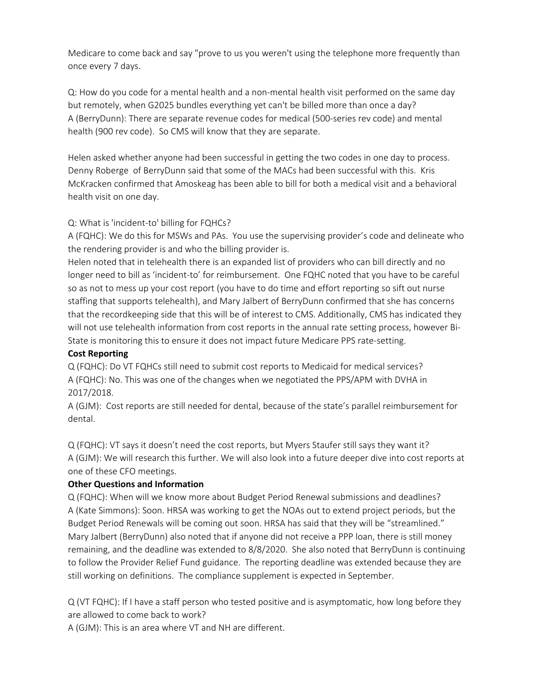Medicare to come back and say "prove to us you weren't using the telephone more frequently than once every 7 days.

Q: How do you code for a mental health and a non-mental health visit performed on the same day but remotely, when G2025 bundles everything yet can't be billed more than once a day? A (BerryDunn): There are separate revenue codes for medical (500-series rev code) and mental health (900 rev code). So CMS will know that they are separate.

Helen asked whether anyone had been successful in getting the two codes in one day to process. Denny Roberge of BerryDunn said that some of the MACs had been successful with this. Kris McKracken confirmed that Amoskeag has been able to bill for both a medical visit and a behavioral health visit on one day.

### Q: What is 'incident-to' billing for FQHCs?

A (FQHC): We do this for MSWs and PAs. You use the supervising provider's code and delineate who the rendering provider is and who the billing provider is.

Helen noted that in telehealth there is an expanded list of providers who can bill directly and no longer need to bill as 'incident-to' for reimbursement. One FQHC noted that you have to be careful so as not to mess up your cost report (you have to do time and effort reporting so sift out nurse staffing that supports telehealth), and Mary Jalbert of BerryDunn confirmed that she has concerns that the recordkeeping side that this will be of interest to CMS. Additionally, CMS has indicated they will not use telehealth information from cost reports in the annual rate setting process, however Bi-State is monitoring this to ensure it does not impact future Medicare PPS rate-setting.

# **Cost Reporting**

Q (FQHC): Do VT FQHCs still need to submit cost reports to Medicaid for medical services? A (FQHC): No. This was one of the changes when we negotiated the PPS/APM with DVHA in 2017/2018.

A (GJM): Cost reports are still needed for dental, because of the state's parallel reimbursement for dental.

Q (FQHC): VT says it doesn't need the cost reports, but Myers Staufer still says they want it? A (GJM): We will research this further. We will also look into a future deeper dive into cost reports at one of these CFO meetings.

# **Other Questions and Information**

Q (FQHC): When will we know more about Budget Period Renewal submissions and deadlines? A (Kate Simmons): Soon. HRSA was working to get the NOAs out to extend project periods, but the Budget Period Renewals will be coming out soon. HRSA has said that they will be "streamlined." Mary Jalbert (BerryDunn) also noted that if anyone did not receive a PPP loan, there is still money remaining, and the deadline was extended to 8/8/2020. She also noted that BerryDunn is continuing to follow the Provider Relief Fund guidance. The reporting deadline was extended because they are still working on definitions. The compliance supplement is expected in September.

Q (VT FQHC): If I have a staff person who tested positive and is asymptomatic, how long before they are allowed to come back to work?

A (GJM): This is an area where VT and NH are different.